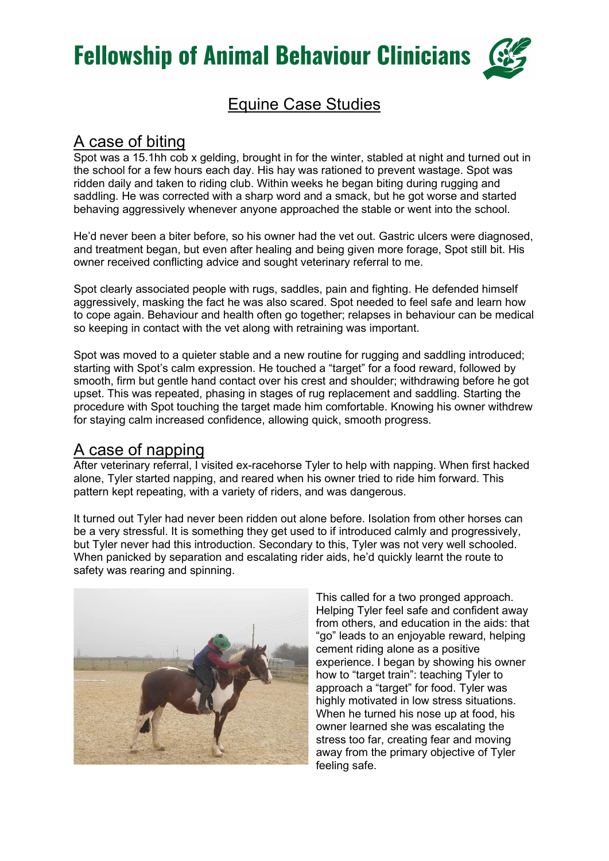

## Equine Case Studies

#### A case of biting

Spot was a 15.1hh cob x gelding, brought in for the winter, stabled at night and turned out in the school for a few hours each day. His hay was rationed to prevent wastage. Spot was ridden daily and taken to riding club. Within weeks he began biting during rugging and saddling. He was corrected with a sharp word and a smack, but he got worse and started behaving aggressively whenever anyone approached the stable or went into the school.

He'd never been a biter before, so his owner had the vet out. Gastric ulcers were diagnosed, and treatment began, but even after healing and being given more forage, Spot still bit. His owner received conflicting advice and sought veterinary referral to me.

Spot clearly associated people with rugs, saddles, pain and fighting. He defended himself aggressively, masking the fact he was also scared. Spot needed to feel safe and learn how to cope again. Behaviour and health often go together; relapses in behaviour can be medical so keeping in contact with the vet along with retraining was important.

Spot was moved to a quieter stable and a new routine for rugging and saddling introduced; starting with Spot's calm expression. He touched a "target" for a food reward, followed by smooth, firm but gentle hand contact over his crest and shoulder; withdrawing before he got upset. This was repeated, phasing in stages of rug replacement and saddling. Starting the procedure with Spot touching the target made him comfortable. Knowing his owner withdrew for staying calm increased confidence, allowing quick, smooth progress.

#### A case of napping

After veterinary referral, I visited ex-racehorse Tyler to help with napping. When first hacked alone, Tyler started napping, and reared when his owner tried to ride him forward. This pattern kept repeating, with a variety of riders, and was dangerous.

It turned out Tyler had never been ridden out alone before. Isolation from other horses can be a very stressful. It is something they get used to if introduced calmly and progressively, but Tyler never had this introduction. Secondary to this, Tyler was not very well schooled. When panicked by separation and escalating rider aids, he'd quickly learnt the route to safety was rearing and spinning.



This called for a two pronged approach. Helping Tyler feel safe and confident away from others, and education in the aids: that "go" leads to an enjoyable reward, helping cement riding alone as a positive experience. I began by showing his owner how to "target train": teaching Tyler to approach a "target" for food. Tyler was highly motivated in low stress situations. When he turned his nose up at food, his owner learned she was escalating the stress too far, creating fear and moving away from the primary objective of Tyler feeling safe.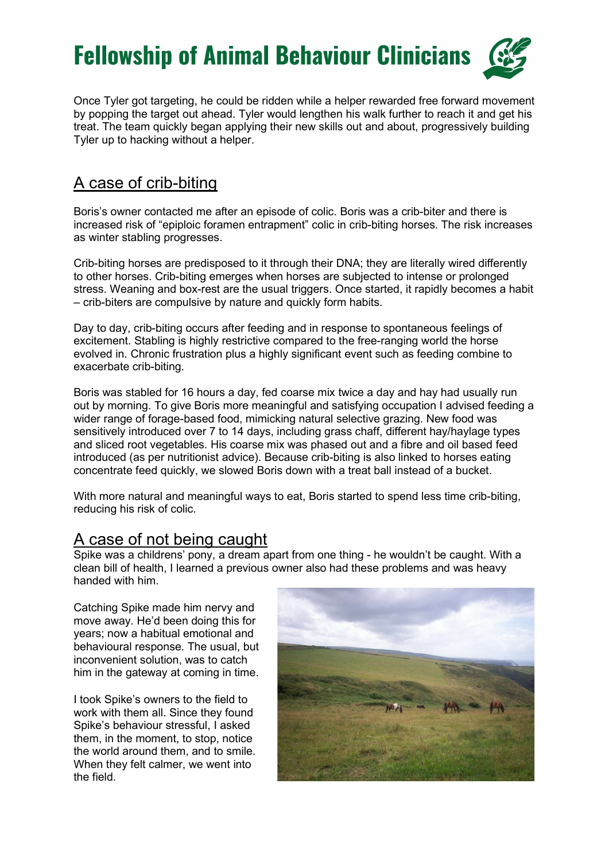

Once Tyler got targeting, he could be ridden while a helper rewarded free forward movement by popping the target out ahead. Tyler would lengthen his walk further to reach it and get his treat. The team quickly began applying their new skills out and about, progressively building Tyler up to hacking without a helper.

### A case of crib-biting

Boris's owner contacted me after an episode of colic. Boris was a crib-biter and there is increased risk of "epiploic foramen entrapment" colic in crib-biting horses. The risk increases as winter stabling progresses.

Crib-biting horses are predisposed to it through their DNA; they are literally wired differently to other horses. Crib-biting emerges when horses are subjected to intense or prolonged stress. Weaning and box-rest are the usual triggers. Once started, it rapidly becomes a habit – crib-biters are compulsive by nature and quickly form habits.

Day to day, crib-biting occurs after feeding and in response to spontaneous feelings of excitement. Stabling is highly restrictive compared to the free-ranging world the horse evolved in. Chronic frustration plus a highly significant event such as feeding combine to exacerbate crib-biting.

Boris was stabled for 16 hours a day, fed coarse mix twice a day and hay had usually run out by morning. To give Boris more meaningful and satisfying occupation I advised feeding a wider range of forage-based food, mimicking natural selective grazing. New food was sensitively introduced over 7 to 14 days, including grass chaff, different hay/haylage types and sliced root vegetables. His coarse mix was phased out and a fibre and oil based feed introduced (as per nutritionist advice). Because crib-biting is also linked to horses eating concentrate feed quickly, we slowed Boris down with a treat ball instead of a bucket.

With more natural and meaningful ways to eat, Boris started to spend less time crib-biting, reducing his risk of colic.

#### A case of not being caught

Spike was a childrens' pony, a dream apart from one thing - he wouldn't be caught. With a clean bill of health, I learned a previous owner also had these problems and was heavy handed with him.

Catching Spike made him nervy and move away. He'd been doing this for years; now a habitual emotional and behavioural response. The usual, but inconvenient solution, was to catch him in the gateway at coming in time.

I took Spike's owners to the field to work with them all. Since they found Spike's behaviour stressful, I asked them, in the moment, to stop, notice the world around them, and to smile. When they felt calmer, we went into the field.

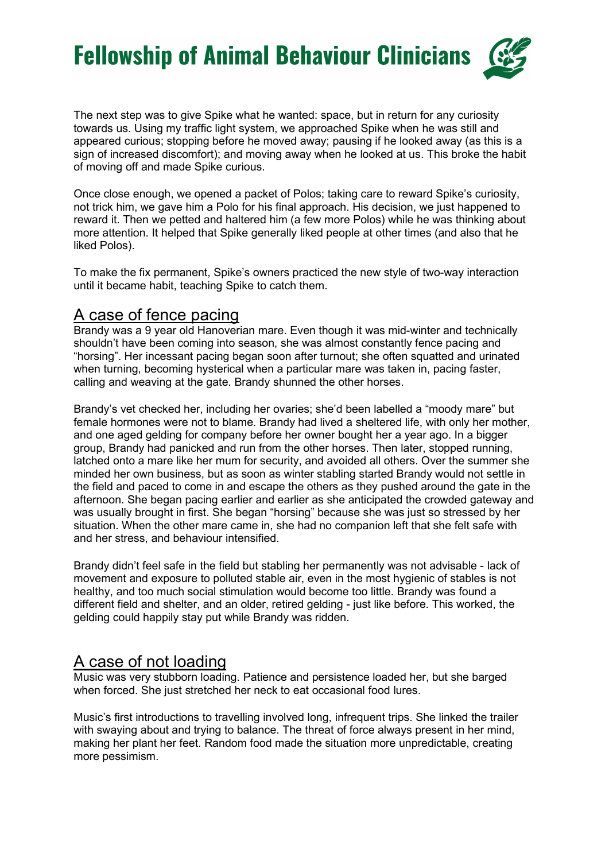The next step was to give Spike what he wanted: space, but in return for any curiosity towards us. Using my traffic light system, we approached Spike when he was still and appeared curious; stopping before he moved away; pausing if he looked away (as this is a sign of increased discomfort); and moving away when he looked at us. This broke the habit of moving off and made Spike curious.

Once close enough, we opened a packet of Polos; taking care to reward Spike's curiosity, not trick him, we gave him a Polo for his final approach. His decision, we just happened to reward it. Then we petted and haltered him (a few more Polos) while he was thinking about more attention. It helped that Spike generally liked people at other times (and also that he liked Polos).

To make the fix permanent, Spike's owners practiced the new style of two-way interaction until it became habit, teaching Spike to catch them.

## A case of fence pacing

Brandy was a 9 year old Hanoverian mare. Even though it was mid-winter and technically shouldn't have been coming into season, she was almost constantly fence pacing and "horsing". Her incessant pacing began soon after turnout; she often squatted and urinated when turning, becoming hysterical when a particular mare was taken in, pacing faster, calling and weaving at the gate. Brandy shunned the other horses.

Brandy's vet checked her, including her ovaries; she'd been labelled a "moody mare" but female hormones were not to blame. Brandy had lived a sheltered life, with only her mother, and one aged gelding for company before her owner bought her a year ago. In a bigger group, Brandy had panicked and run from the other horses. Then later, stopped running, latched onto a mare like her mum for security, and avoided all others. Over the summer she minded her own business, but as soon as winter stabling started Brandy would not settle in the field and paced to come in and escape the others as they pushed around the gate in the afternoon. She began pacing earlier and earlier as she anticipated the crowded gateway and was usually brought in first. She began "horsing" because she was just so stressed by her situation. When the other mare came in, she had no companion left that she felt safe with and her stress, and behaviour intensified.

Brandy didn't feel safe in the field but stabling her permanently was not advisable - lack of movement and exposure to polluted stable air, even in the most hygienic of stables is not healthy, and too much social stimulation would become too little. Brandy was found a different field and shelter, and an older, retired gelding - just like before. This worked, the gelding could happily stay put while Brandy was ridden.

### A case of not loading

Music was very stubborn loading. Patience and persistence loaded her, but she barged when forced. She just stretched her neck to eat occasional food lures.

Music's first introductions to travelling involved long, infrequent trips. She linked the trailer with swaying about and trying to balance. The threat of force always present in her mind, making her plant her feet. Random food made the situation more unpredictable, creating more pessimism.